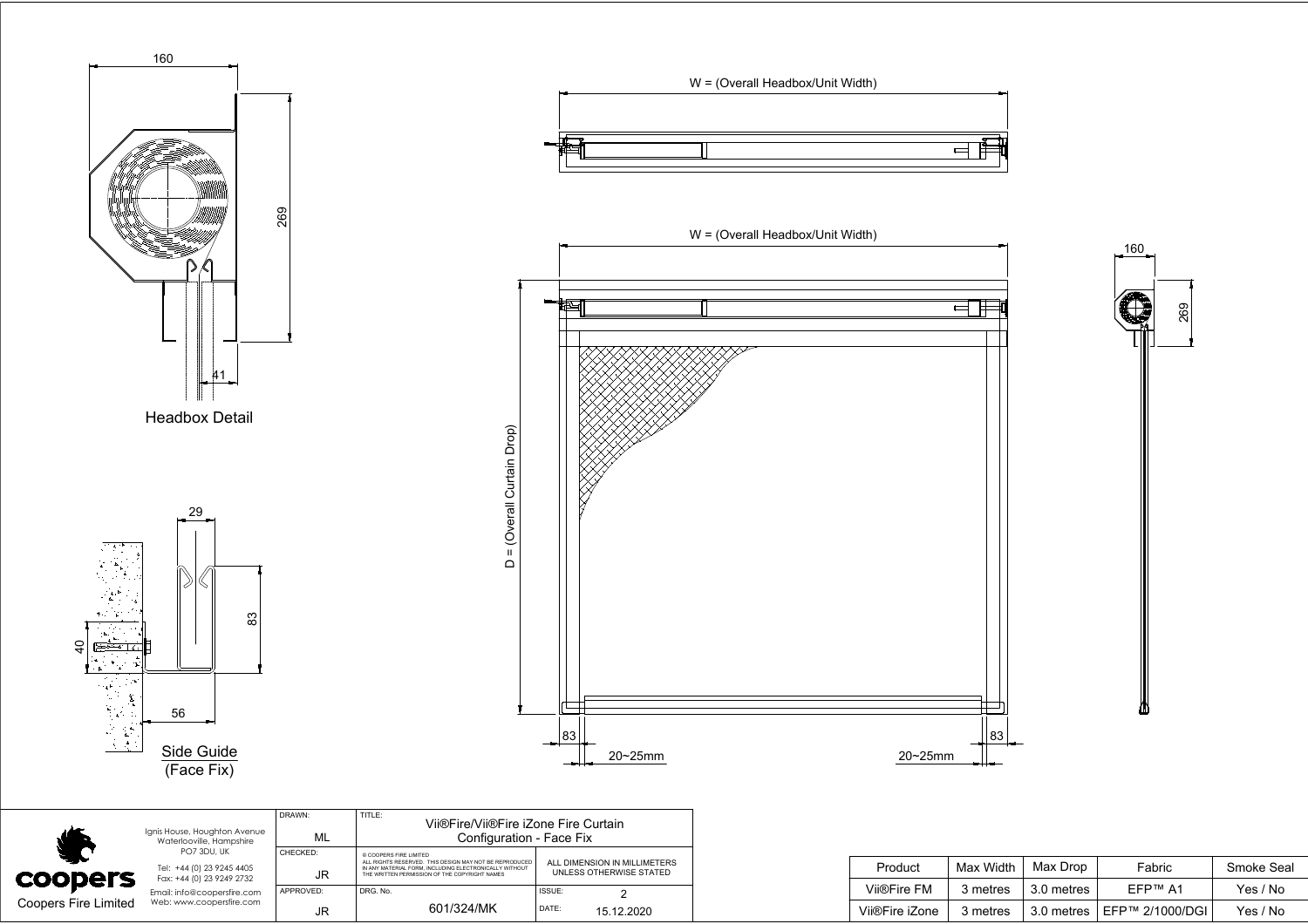